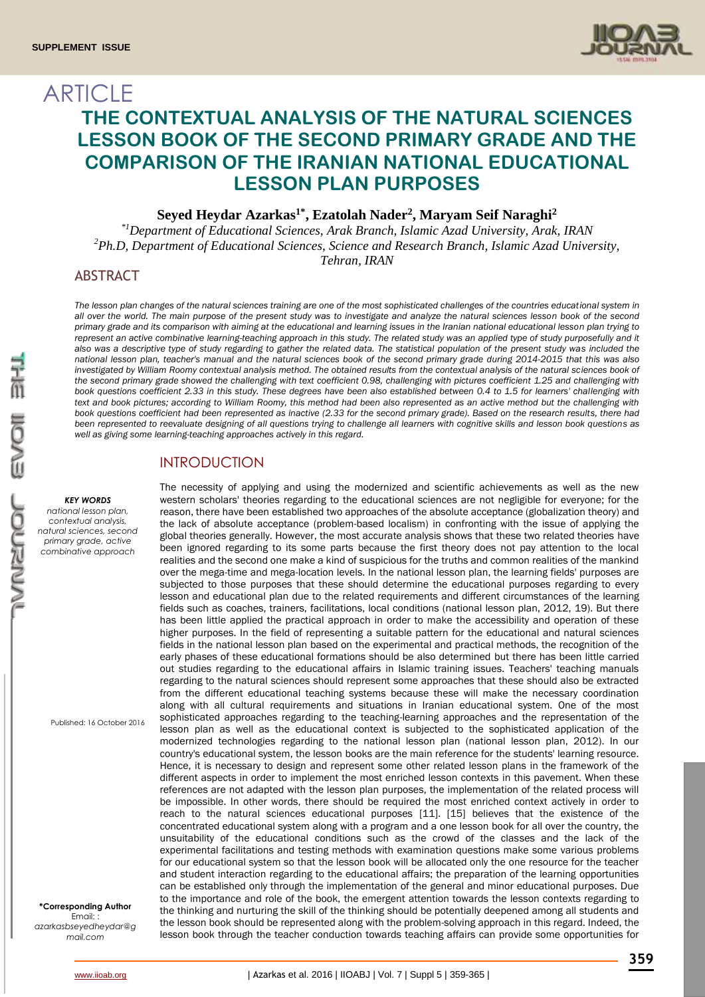

# ARTICLE **THE CONTEXTUAL ANALYSIS OF THE NATURAL SCIENCES LESSON BOOK OF THE SECOND PRIMARY GRADE AND THE COMPARISON OF THE IRANIAN NATIONAL EDUCATIONAL LESSON PLAN PURPOSES**

**Seyed Heydar Azarkas1\*, Ezatolah Nader<sup>2</sup> , Maryam Seif Naraghi<sup>2</sup>**

*\*1Department of Educational Sciences, Arak Branch, Islamic Azad University, Arak, IRAN <sup>2</sup>Ph.D, Department of Educational Sciences, Science and Research Branch, Islamic Azad University, Tehran, IRAN*

### ABSTRACT

The lesson plan changes of the natural sciences training are one of the most sophisticated challenges of the countries educational system in *all over the world. The main purpose of the present study was to investigate and analyze the natural sciences lesson book of the second primary grade and its comparison with aiming at the educational and learning issues in the Iranian national educational lesson plan trying to*  represent an active combinative learning-teaching approach in this study. The related study was an applied type of study purposefully and it also was a descriptive type of study regarding to gather the related data. The statistical population of the present study was included the *national lesson plan, teacher's manual and the natural sciences book of the second primary grade during 2014-2015 that this was also*  investigated by William Roomy contextual analysis method. The obtained results from the contextual analysis of the natural sciences book of *the second primary grade showed the challenging with text coefficient 0.98, challenging with pictures coefficient 1.25 and challenging with book questions coefficient 2.33 in this study. These degrees have been also established between 0.4 to 1.5 for learners' challenging with*  text and book pictures; according to William Roomy, this method had been also represented as an active method but the challenging with *book questions coefficient had been represented as inactive (2.33 for the second primary grade). Based on the research results, there had been represented to reevaluate designing of all questions trying to challenge all learners with cognitive skills and lesson book questions as well as giving some learning-teaching approaches actively in this regard.* 

## INTRODUCTION

#### *KEY WORDS*

*national lesson plan, contextual analysis, natural sciences, second primary grade, active combinative approach*

Published: 16 October 2016

**\*Corresponding Author** Email: *azarkasbseyedheydar@g mail.com*

reason, there have been established two approaches of the absolute acceptance (globalization theory) and the lack of absolute acceptance (problem-based localism) in confronting with the issue of applying the global theories generally. However, the most accurate analysis shows that these two related theories have been ignored regarding to its some parts because the first theory does not pay attention to the local realities and the second one make a kind of suspicious for the truths and common realities of the mankind over the mega-time and mega-location levels. In the national lesson plan, the learning fields' purposes are subjected to those purposes that these should determine the educational purposes regarding to every lesson and educational plan due to the related requirements and different circumstances of the learning fields such as coaches, trainers, facilitations, local conditions (national lesson plan, 2012, 19). But there has been little applied the practical approach in order to make the accessibility and operation of these higher purposes. In the field of representing a suitable pattern for the educational and natural sciences fields in the national lesson plan based on the experimental and practical methods, the recognition of the early phases of these educational formations should be also determined but there has been little carried out studies regarding to the educational affairs in Islamic training issues. Teachers' teaching manuals regarding to the natural sciences should represent some approaches that these should also be extracted from the different educational teaching systems because these will make the necessary coordination along with all cultural requirements and situations in Iranian educational system. One of the most sophisticated approaches regarding to the teaching-learning approaches and the representation of the lesson plan as well as the educational context is subjected to the sophisticated application of the modernized technologies regarding to the national lesson plan (national lesson plan, 2012). In our country's educational system, the lesson books are the main reference for the students' learning resource. Hence, it is necessary to design and represent some other related lesson plans in the framework of the different aspects in order to implement the most enriched lesson contexts in this pavement. When these references are not adapted with the lesson plan purposes, the implementation of the related process will be impossible. In other words, there should be required the most enriched context actively in order to reach to the natural sciences educational purposes [11]. [15] believes that the existence of the concentrated educational system along with a program and a one lesson book for all over the country, the unsuitability of the educational conditions such as the crowd of the classes and the lack of the experimental facilitations and testing methods with examination questions make some various problems for our educational system so that the lesson book will be allocated only the one resource for the teacher and student interaction regarding to the educational affairs; the preparation of the learning opportunities can be established only through the implementation of the general and minor educational purposes. Due to the importance and role of the book, the emergent attention towards the lesson contexts regarding to the thinking and nurturing the skill of the thinking should be potentially deepened among all students and the lesson book should be represented along with the problem-solving approach in this regard. Indeed, the lesson book through the teacher conduction towards teaching affairs can provide some opportunities for

The necessity of applying and using the modernized and scientific achievements as well as the new western scholars' theories regarding to the educational sciences are not negligible for everyone; for the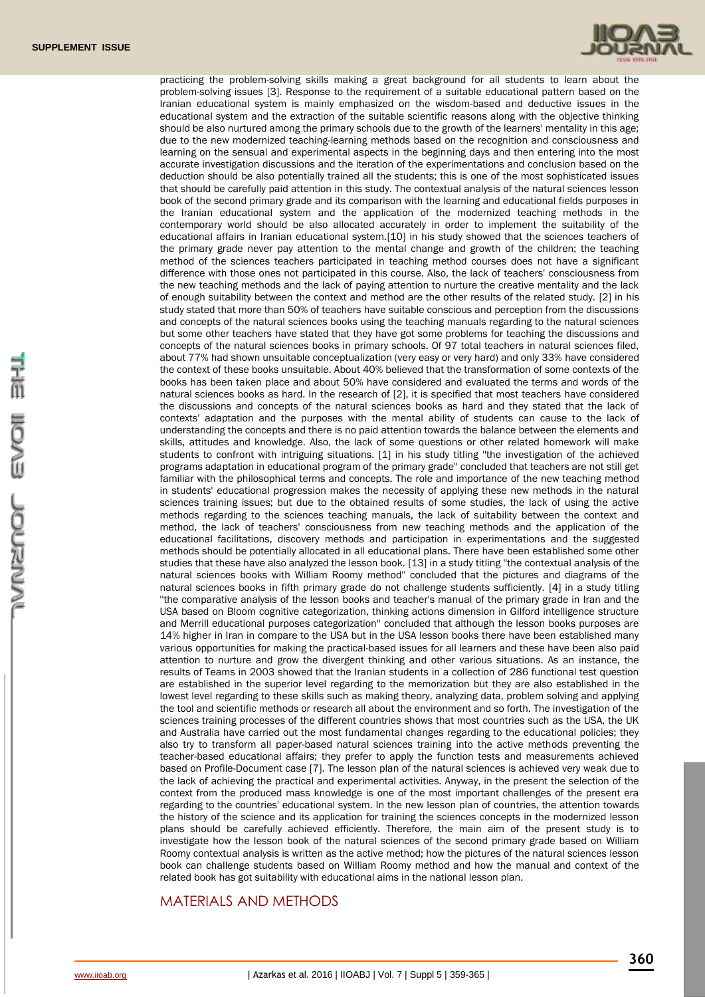

practicing the problem-solving skills making a great background for all students to learn about the problem-solving issues [3]. Response to the requirement of a suitable educational pattern based on the Iranian educational system is mainly emphasized on the wisdom-based and deductive issues in the educational system and the extraction of the suitable scientific reasons along with the objective thinking should be also nurtured among the primary schools due to the growth of the learners' mentality in this age; due to the new modernized teaching-learning methods based on the recognition and consciousness and learning on the sensual and experimental aspects in the beginning days and then entering into the most accurate investigation discussions and the iteration of the experimentations and conclusion based on the deduction should be also potentially trained all the students; this is one of the most sophisticated issues that should be carefully paid attention in this study. The contextual analysis of the natural sciences lesson book of the second primary grade and its comparison with the learning and educational fields purposes in the Iranian educational system and the application of the modernized teaching methods in the contemporary world should be also allocated accurately in order to implement the suitability of the educational affairs in Iranian educational system.[10] in his study showed that the sciences teachers of the primary grade never pay attention to the mental change and growth of the children; the teaching method of the sciences teachers participated in teaching method courses does not have a significant difference with those ones not participated in this course. Also, the lack of teachers' consciousness from the new teaching methods and the lack of paying attention to nurture the creative mentality and the lack of enough suitability between the context and method are the other results of the related study. [2] in his study stated that more than 50% of teachers have suitable conscious and perception from the discussions and concepts of the natural sciences books using the teaching manuals regarding to the natural sciences but some other teachers have stated that they have got some problems for teaching the discussions and concepts of the natural sciences books in primary schools. Of 97 total teachers in natural sciences filed, about 77% had shown unsuitable conceptualization (very easy or very hard) and only 33% have considered the context of these books unsuitable. About 40% believed that the transformation of some contexts of the books has been taken place and about 50% have considered and evaluated the terms and words of the natural sciences books as hard. In the research of [2], it is specified that most teachers have considered the discussions and concepts of the natural sciences books as hard and they stated that the lack of contexts' adaptation and the purposes with the mental ability of students can cause to the lack of understanding the concepts and there is no paid attention towards the balance between the elements and skills, attitudes and knowledge. Also, the lack of some questions or other related homework will make students to confront with intriguing situations. [1] in his study titling ''the investigation of the achieved programs adaptation in educational program of the primary grade'' concluded that teachers are not still get familiar with the philosophical terms and concepts. The role and importance of the new teaching method in students' educational progression makes the necessity of applying these new methods in the natural sciences training issues; but due to the obtained results of some studies, the lack of using the active methods regarding to the sciences teaching manuals, the lack of suitability between the context and method, the lack of teachers' consciousness from new teaching methods and the application of the educational facilitations, discovery methods and participation in experimentations and the suggested methods should be potentially allocated in all educational plans. There have been established some other studies that these have also analyzed the lesson book. [13] in a study titling ''the contextual analysis of the natural sciences books with William Roomy method'' concluded that the pictures and diagrams of the natural sciences books in fifth primary grade do not challenge students sufficiently. [4] in a study titling ''the comparative analysis of the lesson books and teacher's manual of the primary grade in Iran and the USA based on Bloom cognitive categorization, thinking actions dimension in Gilford intelligence structure and Merrill educational purposes categorization'' concluded that although the lesson books purposes are 14% higher in Iran in compare to the USA but in the USA lesson books there have been established many various opportunities for making the practical-based issues for all learners and these have been also paid attention to nurture and grow the divergent thinking and other various situations. As an instance, the results of Teams in 2003 showed that the Iranian students in a collection of 286 functional test question are established in the superior level regarding to the memorization but they are also established in the lowest level regarding to these skills such as making theory, analyzing data, problem solving and applying the tool and scientific methods or research all about the environment and so forth. The investigation of the sciences training processes of the different countries shows that most countries such as the USA, the UK and Australia have carried out the most fundamental changes regarding to the educational policies; they also try to transform all paper-based natural sciences training into the active methods preventing the teacher-based educational affairs; they prefer to apply the function tests and measurements achieved based on Profile-Document case [7]. The lesson plan of the natural sciences is achieved very weak due to the lack of achieving the practical and experimental activities. Anyway, in the present the selection of the context from the produced mass knowledge is one of the most important challenges of the present era regarding to the countries' educational system. In the new lesson plan of countries, the attention towards the history of the science and its application for training the sciences concepts in the modernized lesson plans should be carefully achieved efficiently. Therefore, the main aim of the present study is to investigate how the lesson book of the natural sciences of the second primary grade based on William Roomy contextual analysis is written as the active method; how the pictures of the natural sciences lesson book can challenge students based on William Roomy method and how the manual and context of the related book has got suitability with educational aims in the national lesson plan.

## MATERIALS AND METHODS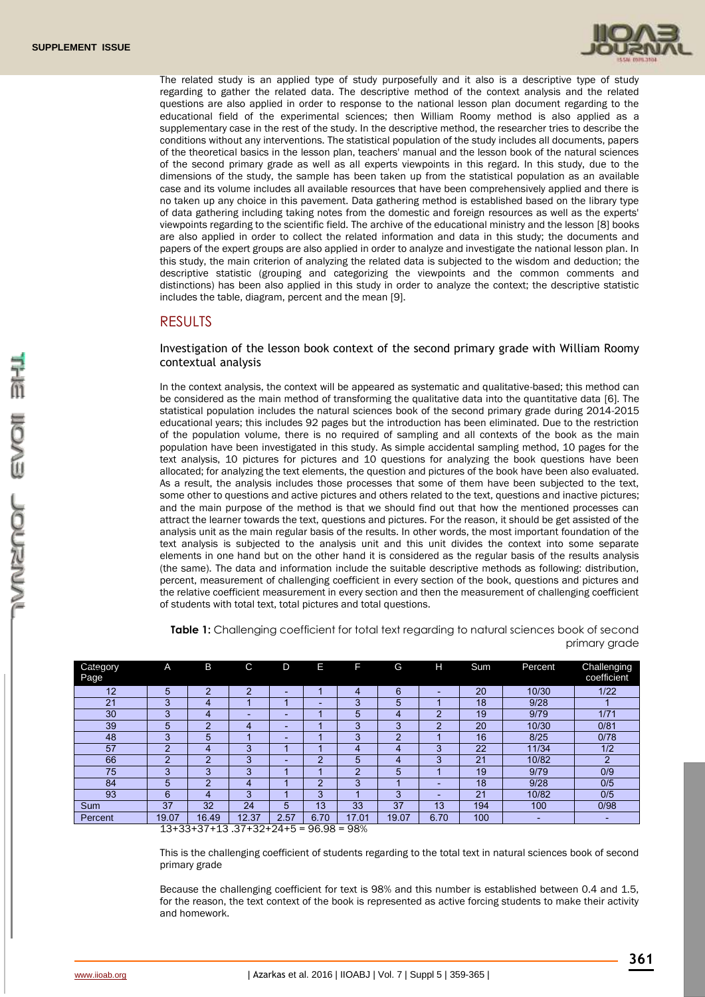

The related study is an applied type of study purposefully and it also is a descriptive type of study regarding to gather the related data. The descriptive method of the context analysis and the related questions are also applied in order to response to the national lesson plan document regarding to the educational field of the experimental sciences; then William Roomy method is also applied as a supplementary case in the rest of the study. In the descriptive method, the researcher tries to describe the conditions without any interventions. The statistical population of the study includes all documents, papers of the theoretical basics in the lesson plan, teachers' manual and the lesson book of the natural sciences of the second primary grade as well as all experts viewpoints in this regard. In this study, due to the dimensions of the study, the sample has been taken up from the statistical population as an available case and its volume includes all available resources that have been comprehensively applied and there is no taken up any choice in this pavement. Data gathering method is established based on the library type of data gathering including taking notes from the domestic and foreign resources as well as the experts' viewpoints regarding to the scientific field. The archive of the educational ministry and the lesson [8] books are also applied in order to collect the related information and data in this study; the documents and papers of the expert groups are also applied in order to analyze and investigate the national lesson plan. In this study, the main criterion of analyzing the related data is subjected to the wisdom and deduction; the descriptive statistic (grouping and categorizing the viewpoints and the common comments and distinctions) has been also applied in this study in order to analyze the context; the descriptive statistic includes the table, diagram, percent and the mean [9].

#### RESULTS

Investigation of the lesson book context of the second primary grade with William Roomy contextual analysis

In the context analysis, the context will be appeared as systematic and qualitative-based; this method can be considered as the main method of transforming the qualitative data into the quantitative data [6]. The statistical population includes the natural sciences book of the second primary grade during 2014-2015 educational years; this includes 92 pages but the introduction has been eliminated. Due to the restriction of the population volume, there is no required of sampling and all contexts of the book as the main population have been investigated in this study. As simple accidental sampling method, 10 pages for the text analysis, 10 pictures for pictures and 10 questions for analyzing the book questions have been allocated; for analyzing the text elements, the question and pictures of the book have been also evaluated. As a result, the analysis includes those processes that some of them have been subjected to the text, some other to questions and active pictures and others related to the text, questions and inactive pictures; and the main purpose of the method is that we should find out that how the mentioned processes can attract the learner towards the text, questions and pictures. For the reason, it should be get assisted of the analysis unit as the main regular basis of the results. In other words, the most important foundation of the text analysis is subjected to the analysis unit and this unit divides the context into some separate elements in one hand but on the other hand it is considered as the regular basis of the results analysis (the same). The data and information include the suitable descriptive methods as following: distribution, percent, measurement of challenging coefficient in every section of the book, questions and pictures and the relative coefficient measurement in every section and then the measurement of challenging coefficient of students with total text, total pictures and total questions.

| Category<br>Page                                      | A              | B              | C              | D    | Е              | F     | G     | н              | Sum | Percent | Challenging<br>coefficient |
|-------------------------------------------------------|----------------|----------------|----------------|------|----------------|-------|-------|----------------|-----|---------|----------------------------|
| 12                                                    | 5              | $\overline{2}$ | $\overline{2}$ | -    |                | 4     | 6     | -              | 20  | 10/30   | 1/22                       |
| 21                                                    | 3              | 4              |                |      | -              | 3     | 5     |                | 18  | 9/28    |                            |
| 30                                                    | 3              | 4              | -              | -    |                | 5     | 4     | $\mathfrak{p}$ | 19  | 9/79    | 1/71                       |
| 39                                                    | 5              | 2              | 4              | -    |                | 3     | 3     | $\mathcal{P}$  | 20  | 10/30   | 0/81                       |
| 48                                                    | 3              | 5              |                | -    |                | 3     | ⌒     |                | 16  | 8/25    | 0/78                       |
| 57                                                    | C              | 4              | 3              |      |                | 4     | 4     | 3              | 22  | 11/34   | 1/2                        |
| 66                                                    | $\mathfrak{p}$ | റ              | 3              | -    | $\overline{2}$ | 5     | 4     | 3              | 21  | 10/82   | $\overline{2}$             |
| 75                                                    | 3              | 3              | 3              |      |                | ◠     | 5     |                | 19  | 9/79    | 0/9                        |
| 84                                                    | 5              | റ              | 4              |      | $\Omega$       | 3     |       | -              | 18  | 9/28    | 0/5                        |
| 93                                                    | 6              | 4              | 3              |      | 3              |       | 3     |                | 21  | 10/82   | 0/5                        |
| Sum                                                   | 37             | 32             | 24             | 5    | 13             | 33    | 37    | 13             | 194 | 100     | 0/98                       |
| Percent                                               | 19.07          | 16.49          | 12.37          | 2.57 | 6.70           | 17.01 | 19.07 | 6.70           | 100 | -       | -                          |
| 12122127112<br>$27+29+24+5$<br>$-$ 00%<br>$-$ 0.6 0.0 |                |                |                |      |                |       |       |                |     |         |                            |

**Table 1:** Challenging coefficient for total text regarding to natural sciences book of second primary grade

13+33+37+13 .37+32+24+5 = 96.98 = 98%

This is the challenging coefficient of students regarding to the total text in natural sciences book of second primary grade

Because the challenging coefficient for text is 98% and this number is established between 0.4 and 1.5, for the reason, the text context of the book is represented as active forcing students to make their activity and homework.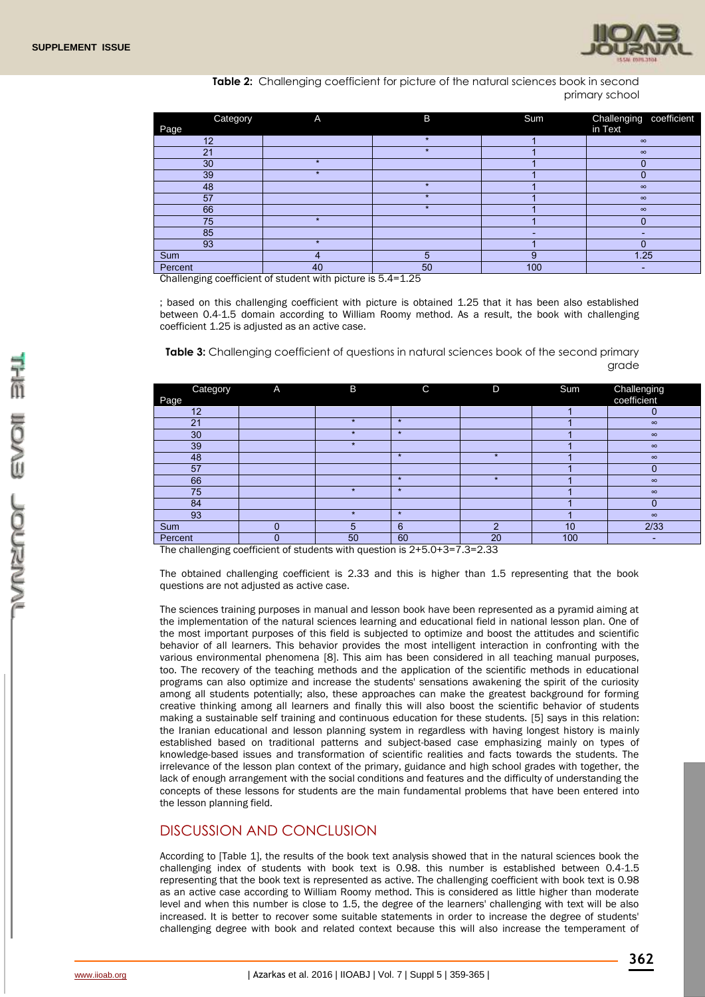

**Table 2:** Challenging coefficient for picture of the natural sciences book in second primary school

| Category | A       | B       | Sum | Challenging<br>coefficient |
|----------|---------|---------|-----|----------------------------|
| Page     |         |         |     | in Text                    |
| 12       |         | $\star$ |     | $\infty$                   |
| 21       |         |         |     | $\infty$                   |
| 30       | $\star$ |         |     |                            |
| 39       |         |         |     |                            |
| 48       |         | $\star$ |     | $\infty$                   |
| 57       |         |         |     | $\infty$                   |
| 66       |         |         |     | $\infty$                   |
| 75       | $\star$ |         |     |                            |
| 85       |         |         |     |                            |
| 93       |         |         |     |                            |
| Sum      | 4       | 5       | 9   | 1.25                       |
| Percent  | 40      | 50      | 100 |                            |

Challenging coefficient of student with picture is 5.4=1.25

; based on this challenging coefficient with picture is obtained 1.25 that it has been also established between 0.4-1.5 domain according to William Roomy method. As a result, the book with challenging coefficient 1.25 is adjusted as an active case.

**Table 3:** Challenging coefficient of questions in natural sciences book of the second primary grade

| Category<br>Page | A                                                                                                                         | B                               | C                                                                                     | D       | Sum | Challenging<br>coefficient |
|------------------|---------------------------------------------------------------------------------------------------------------------------|---------------------------------|---------------------------------------------------------------------------------------|---------|-----|----------------------------|
| 12               |                                                                                                                           |                                 |                                                                                       |         |     | 0                          |
| 21               |                                                                                                                           | $\star$                         | $\star$                                                                               |         |     | $\infty$                   |
| 30               |                                                                                                                           | ÷                               | $\star$                                                                               |         |     | $\infty$                   |
| 39               |                                                                                                                           | $\star$                         |                                                                                       |         |     | $\infty$                   |
| 48               |                                                                                                                           |                                 | $\star$                                                                               | $\star$ |     | $\infty$                   |
| 57               |                                                                                                                           |                                 |                                                                                       |         |     |                            |
| 66               |                                                                                                                           |                                 | $\star$                                                                               |         |     | $\infty$                   |
| 75               |                                                                                                                           | $\star$                         | $\star$                                                                               |         |     | $\infty$                   |
| 84               |                                                                                                                           |                                 |                                                                                       |         |     |                            |
| 93               |                                                                                                                           | ÷                               | $\star$                                                                               |         |     | $\infty$                   |
| Sum              | O                                                                                                                         | 5                               | 6                                                                                     | c       | 10  | 2/33                       |
| Percent          | $\sim$<br>the contract of the contract of the contract of the contract of the contract of the contract of the contract of | 50<br>$\cdots$<br>$\sim$ $\sim$ | 60<br>$\bullet$ $\bullet$ $\bullet$ $\bullet$ $\bullet$ $\bullet$ $\bullet$<br>$\sim$ | 20      | 100 | $\overline{\phantom{a}}$   |

The challenging coefficient of students with question is 2+5.0+3=7.3=2.33

The obtained challenging coefficient is 2.33 and this is higher than 1.5 representing that the book questions are not adjusted as active case.

The sciences training purposes in manual and lesson book have been represented as a pyramid aiming at the implementation of the natural sciences learning and educational field in national lesson plan. One of the most important purposes of this field is subjected to optimize and boost the attitudes and scientific behavior of all learners. This behavior provides the most intelligent interaction in confronting with the various environmental phenomena [8]. This aim has been considered in all teaching manual purposes, too. The recovery of the teaching methods and the application of the scientific methods in educational programs can also optimize and increase the students' sensations awakening the spirit of the curiosity among all students potentially; also, these approaches can make the greatest background for forming creative thinking among all learners and finally this will also boost the scientific behavior of students making a sustainable self training and continuous education for these students. [5] says in this relation: the Iranian educational and lesson planning system in regardless with having longest history is mainly established based on traditional patterns and subject-based case emphasizing mainly on types of knowledge-based issues and transformation of scientific realities and facts towards the students. The irrelevance of the lesson plan context of the primary, guidance and high school grades with together, the lack of enough arrangement with the social conditions and features and the difficulty of understanding the concepts of these lessons for students are the main fundamental problems that have been entered into the lesson planning field.

## DISCUSSION AND CONCLUSION

According to [Table 1], the results of the book text analysis showed that in the natural sciences book the challenging index of students with book text is 0.98. this number is established between 0.4-1.5 representing that the book text is represented as active. The challenging coefficient with book text is 0.98 as an active case according to William Roomy method. This is considered as little higher than moderate level and when this number is close to 1.5, the degree of the learners' challenging with text will be also increased. It is better to recover some suitable statements in order to increase the degree of students' challenging degree with book and related context because this will also increase the temperament of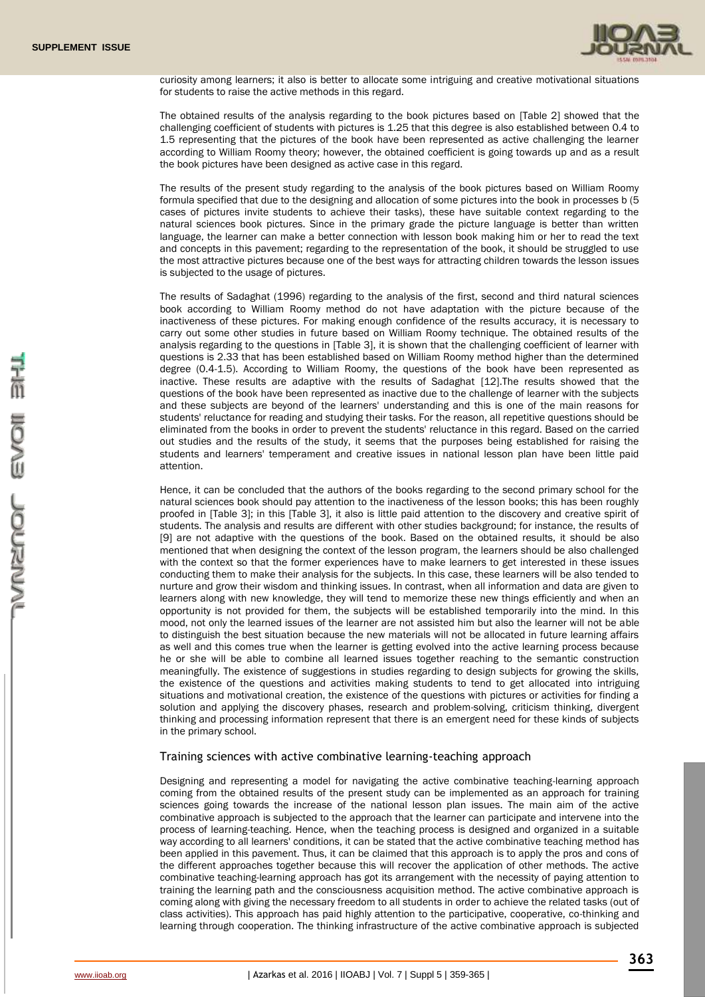

curiosity among learners; it also is better to allocate some intriguing and creative motivational situations for students to raise the active methods in this regard.

The obtained results of the analysis regarding to the book pictures based on [Table 2] showed that the challenging coefficient of students with pictures is 1.25 that this degree is also established between 0.4 to 1.5 representing that the pictures of the book have been represented as active challenging the learner according to William Roomy theory; however, the obtained coefficient is going towards up and as a result the book pictures have been designed as active case in this regard.

The results of the present study regarding to the analysis of the book pictures based on William Roomy formula specified that due to the designing and allocation of some pictures into the book in processes b (5 cases of pictures invite students to achieve their tasks), these have suitable context regarding to the natural sciences book pictures. Since in the primary grade the picture language is better than written language, the learner can make a better connection with lesson book making him or her to read the text and concepts in this pavement; regarding to the representation of the book, it should be struggled to use the most attractive pictures because one of the best ways for attracting children towards the lesson issues is subjected to the usage of pictures.

The results of Sadaghat (1996) regarding to the analysis of the first, second and third natural sciences book according to William Roomy method do not have adaptation with the picture because of the inactiveness of these pictures. For making enough confidence of the results accuracy, it is necessary to carry out some other studies in future based on William Roomy technique. The obtained results of the analysis regarding to the questions in [Table 3], it is shown that the challenging coefficient of learner with questions is 2.33 that has been established based on William Roomy method higher than the determined degree (0.4-1.5). According to William Roomy, the questions of the book have been represented as inactive. These results are adaptive with the results of Sadaghat [12].The results showed that the questions of the book have been represented as inactive due to the challenge of learner with the subjects and these subjects are beyond of the learners' understanding and this is one of the main reasons for students' reluctance for reading and studying their tasks. For the reason, all repetitive questions should be eliminated from the books in order to prevent the students' reluctance in this regard. Based on the carried out studies and the results of the study, it seems that the purposes being established for raising the students and learners' temperament and creative issues in national lesson plan have been little paid attention.

Hence, it can be concluded that the authors of the books regarding to the second primary school for the natural sciences book should pay attention to the inactiveness of the lesson books; this has been roughly proofed in [Table 3]; in this [Table 3], it also is little paid attention to the discovery and creative spirit of students. The analysis and results are different with other studies background; for instance, the results of [9] are not adaptive with the questions of the book. Based on the obtained results, it should be also mentioned that when designing the context of the lesson program, the learners should be also challenged with the context so that the former experiences have to make learners to get interested in these issues conducting them to make their analysis for the subjects. In this case, these learners will be also tended to nurture and grow their wisdom and thinking issues. In contrast, when all information and data are given to learners along with new knowledge, they will tend to memorize these new things efficiently and when an opportunity is not provided for them, the subjects will be established temporarily into the mind. In this mood, not only the learned issues of the learner are not assisted him but also the learner will not be able to distinguish the best situation because the new materials will not be allocated in future learning affairs as well and this comes true when the learner is getting evolved into the active learning process because he or she will be able to combine all learned issues together reaching to the semantic construction meaningfully. The existence of suggestions in studies regarding to design subjects for growing the skills, the existence of the questions and activities making students to tend to get allocated into intriguing situations and motivational creation, the existence of the questions with pictures or activities for finding a solution and applying the discovery phases, research and problem-solving, criticism thinking, divergent thinking and processing information represent that there is an emergent need for these kinds of subjects in the primary school.

#### Training sciences with active combinative learning-teaching approach

Designing and representing a model for navigating the active combinative teaching-learning approach coming from the obtained results of the present study can be implemented as an approach for training sciences going towards the increase of the national lesson plan issues. The main aim of the active combinative approach is subjected to the approach that the learner can participate and intervene into the process of learning-teaching. Hence, when the teaching process is designed and organized in a suitable way according to all learners' conditions, it can be stated that the active combinative teaching method has been applied in this pavement. Thus, it can be claimed that this approach is to apply the pros and cons of the different approaches together because this will recover the application of other methods. The active combinative teaching-learning approach has got its arrangement with the necessity of paying attention to training the learning path and the consciousness acquisition method. The active combinative approach is coming along with giving the necessary freedom to all students in order to achieve the related tasks (out of class activities). This approach has paid highly attention to the participative, cooperative, co-thinking and learning through cooperation. The thinking infrastructure of the active combinative approach is subjected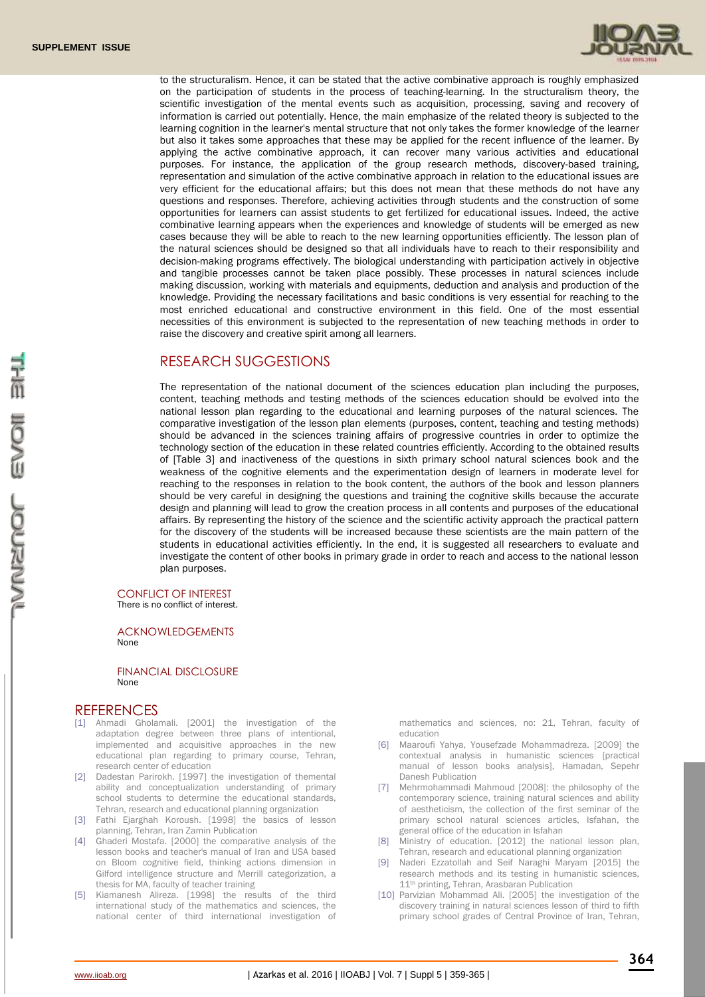

to the structuralism. Hence, it can be stated that the active combinative approach is roughly emphasized on the participation of students in the process of teaching-learning. In the structuralism theory, the scientific investigation of the mental events such as acquisition, processing, saving and recovery of information is carried out potentially. Hence, the main emphasize of the related theory is subjected to the learning cognition in the learner's mental structure that not only takes the former knowledge of the learner but also it takes some approaches that these may be applied for the recent influence of the learner. By applying the active combinative approach, it can recover many various activities and educational purposes. For instance, the application of the group research methods, discovery-based training, representation and simulation of the active combinative approach in relation to the educational issues are very efficient for the educational affairs; but this does not mean that these methods do not have any questions and responses. Therefore, achieving activities through students and the construction of some opportunities for learners can assist students to get fertilized for educational issues. Indeed, the active combinative learning appears when the experiences and knowledge of students will be emerged as new cases because they will be able to reach to the new learning opportunities efficiently. The lesson plan of the natural sciences should be designed so that all individuals have to reach to their responsibility and decision-making programs effectively. The biological understanding with participation actively in objective and tangible processes cannot be taken place possibly. These processes in natural sciences include making discussion, working with materials and equipments, deduction and analysis and production of the knowledge. Providing the necessary facilitations and basic conditions is very essential for reaching to the most enriched educational and constructive environment in this field. One of the most essential necessities of this environment is subjected to the representation of new teaching methods in order to raise the discovery and creative spirit among all learners.

## RESEARCH SUGGESTIONS

The representation of the national document of the sciences education plan including the purposes, content, teaching methods and testing methods of the sciences education should be evolved into the national lesson plan regarding to the educational and learning purposes of the natural sciences. The comparative investigation of the lesson plan elements (purposes, content, teaching and testing methods) should be advanced in the sciences training affairs of progressive countries in order to optimize the technology section of the education in these related countries efficiently. According to the obtained results of [Table 3] and inactiveness of the questions in sixth primary school natural sciences book and the weakness of the cognitive elements and the experimentation design of learners in moderate level for reaching to the responses in relation to the book content, the authors of the book and lesson planners should be very careful in designing the questions and training the cognitive skills because the accurate design and planning will lead to grow the creation process in all contents and purposes of the educational affairs. By representing the history of the science and the scientific activity approach the practical pattern for the discovery of the students will be increased because these scientists are the main pattern of the students in educational activities efficiently. In the end, it is suggested all researchers to evaluate and investigate the content of other books in primary grade in order to reach and access to the national lesson plan purposes.

#### CONFLICT OF INTEREST

There is no conflict of interest.

ACKNOWLEDGEMENTS None

FINANCIAL DISCLOSURE None

#### **REFERENCES**

- [1] Ahmadi Gholamali. [2001] the investigation of the adaptation degree between three plans of intentional, implemented and acquisitive approaches in the new educational plan regarding to primary course, Tehran, research center of education
- [2] Dadestan Parirokh. [1997] the investigation of themental ability and conceptualization understanding of primary school students to determine the educational standards, Tehran, research and educational planning organization
- [3] Fathi Ejarghah Koroush. [1998] the basics of lesson planning, Tehran, Iran Zamin Publication
- [4] Ghaderi Mostafa. [2000] the comparative analysis of the lesson books and teacher's manual of Iran and USA based on Bloom cognitive field, thinking actions dimension in Gilford intelligence structure and Merrill categorization, a thesis for MA, faculty of teacher training
- [5] Kiamanesh Alireza. [1998] the results of the third international study of the mathematics and sciences, the national center of third international investigation of

mathematics and sciences, no: 21, Tehran, faculty of education

- [6] Maaroufi Yahya, Yousefzade Mohammadreza. [2009] the contextual analysis in humanistic sciences [practical manual of lesson books analysis], Hamadan, Sepehr Danesh Publication
- [7] Mehrmohammadi Mahmoud [2008]: the philosophy of the contemporary science, training natural sciences and ability of aestheticism, the collection of the first seminar of the primary school natural sciences articles, Isfahan, the general office of the education in Isfahan
- [8] Ministry of education. [2012] the national lesson plan, Tehran, research and educational planning organization
- [9] Naderi Ezzatollah and Seif Naraghi Maryam [2015] the research methods and its testing in humanistic sciences, 11<sup>th</sup> printing, Tehran, Arasbaran Publication
- [10] Parvizian Mohammad Ali. [2005] the investigation of the discovery training in natural sciences lesson of third to fifth primary school grades of Central Province of Iran, Tehran,